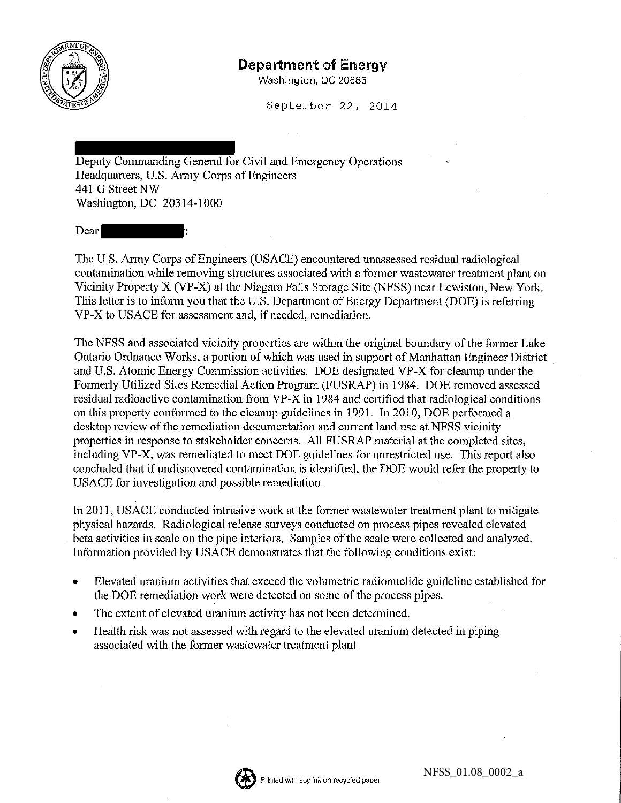

## Department of Energy

Washington, DC 20585

September 22, 2014

Deputy Commanding General for Civil and Emergency Operations Headquarters, U.S. Army Corps of Engineers 441 G Street NW Washington, DC 20314-1000

Dear

The U.S. Army Corps of Engineers (USACE) encountered unassessed residual radiological contamination while removing structures associated with a former wastewater treatment plant on Vicinity Property X (VP-X) at the Niagara Falls Storage Site (NFSS) near Lewiston, New York. This letter is to inform you that the U.S. Department of Energy Department (DOE) is referring VP-X to USACE for assessment and, if needed, remediation.

The NFSS and associated vicinity properties are within the original boundary of the former Lake Ontario Ordnance Works, a portion of which was used in support of Manhattan Engineer District and U.S. Atomic Energy Commission activities. DOE designated VP-X for cleanup under the Formerly Utilized Sites Remedial Action Program (FUSRAP) in 1984. DOE removed assessed residual radioactive contamination from VP-X in 1984 and certified that radiological conditions on this property conformed to the cleanup guidelines in 1991. In 2010, DOE performed a desktop review of the remediation documentation and current land use at NFSS vicinity properties in response to stakeholder concerns. All FUSRAP material at the completed sites, including VP-X, was remediated to meet DOE guidelines for unrestricted use. This report also concluded that if undiscovered contamination is identified, the DOE would refer the property to USACE for investigation and possible remediation.

In 2011, USACE conducted intrusive work at the former wastewater treatment plant to mitigate physical hazards. Radiological release surveys conducted on process pipes revealed elevated beta activities in scale on the pipe interiors. Samples of the scale were collected and analyzed. Information provided by USACE demonstrates that the following conditions exist:

- Elevated uranium activities that exceed the volumetric radionuclide guideline established for the DOE remediation work were detected on some of the process pipes.
- The extent of elevated uranium activity has not been determined.
- Health risk was not assessed with regard to the elevated uranium detected in piping associated with the former wastewater treatment plant.